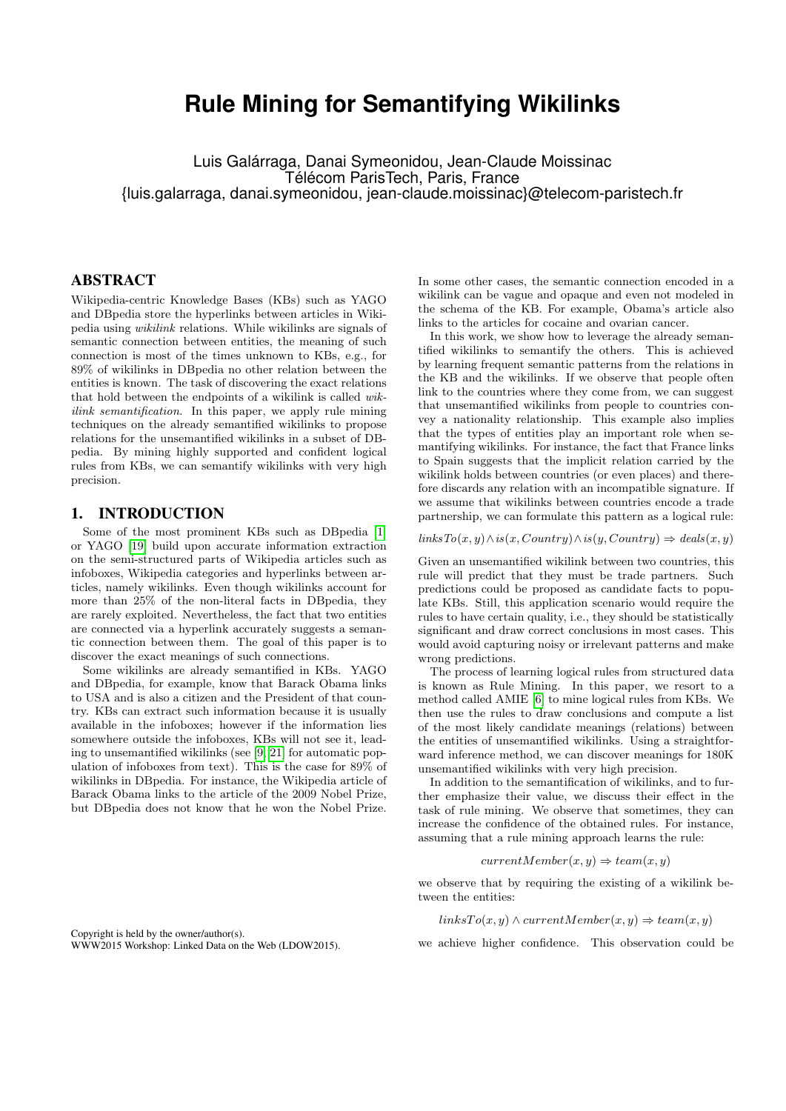# **Rule Mining for Semantifying Wikilinks**

Luis Galárraga, Danai Symeonidou, Jean-Claude Moissinac Télécom ParisTech, Paris, France {luis.galarraga, danai.symeonidou, jean-claude.moissinac}@telecom-paristech.fr

#### ABSTRACT

Wikipedia-centric Knowledge Bases (KBs) such as YAGO and DBpedia store the hyperlinks between articles in Wikipedia using wikilink relations. While wikilinks are signals of semantic connection between entities, the meaning of such connection is most of the times unknown to KBs, e.g., for 89% of wikilinks in DBpedia no other relation between the entities is known. The task of discovering the exact relations that hold between the endpoints of a wikilink is called wikilink semantification. In this paper, we apply rule mining techniques on the already semantified wikilinks to propose relations for the unsemantified wikilinks in a subset of DBpedia. By mining highly supported and confident logical rules from KBs, we can semantify wikilinks with very high precision.

#### 1. INTRODUCTION

Some of the most prominent KBs such as DBpedia [\[1\]](#page-4-0) or YAGO [\[19\]](#page-4-1) build upon accurate information extraction on the semi-structured parts of Wikipedia articles such as infoboxes, Wikipedia categories and hyperlinks between articles, namely wikilinks. Even though wikilinks account for more than 25% of the non-literal facts in DBpedia, they are rarely exploited. Nevertheless, the fact that two entities are connected via a hyperlink accurately suggests a semantic connection between them. The goal of this paper is to discover the exact meanings of such connections.

Some wikilinks are already semantified in KBs. YAGO and DBpedia, for example, know that Barack Obama links to USA and is also a citizen and the President of that country. KBs can extract such information because it is usually available in the infoboxes; however if the information lies somewhere outside the infoboxes, KBs will not see it, leading to unsemantified wikilinks (see [\[9,](#page-4-2) [21\]](#page-4-3) for automatic population of infoboxes from text). This is the case for 89% of wikilinks in DBpedia. For instance, the Wikipedia article of Barack Obama links to the article of the 2009 Nobel Prize, but DBpedia does not know that he won the Nobel Prize.

Copyright is held by the owner/author(s). WWW2015 Workshop: Linked Data on the Web (LDOW2015).

In some other cases, the semantic connection encoded in a wikilink can be vague and opaque and even not modeled in the schema of the KB. For example, Obama's article also links to the articles for cocaine and ovarian cancer.

In this work, we show how to leverage the already semantified wikilinks to semantify the others. This is achieved by learning frequent semantic patterns from the relations in the KB and the wikilinks. If we observe that people often link to the countries where they come from, we can suggest that unsemantified wikilinks from people to countries convey a nationality relationship. This example also implies that the types of entities play an important role when semantifying wikilinks. For instance, the fact that France links to Spain suggests that the implicit relation carried by the wikilink holds between countries (or even places) and therefore discards any relation with an incompatible signature. If we assume that wikilinks between countries encode a trade partnership, we can formulate this pattern as a logical rule:

 $linksTo(x, y) \land is(x, Country) \land is(y, Country) \Rightarrow deals(x, y)$ 

Given an unsemantified wikilink between two countries, this rule will predict that they must be trade partners. Such predictions could be proposed as candidate facts to populate KBs. Still, this application scenario would require the rules to have certain quality, i.e., they should be statistically significant and draw correct conclusions in most cases. This would avoid capturing noisy or irrelevant patterns and make wrong predictions.

The process of learning logical rules from structured data is known as Rule Mining. In this paper, we resort to a method called AMIE [\[6\]](#page-4-4) to mine logical rules from KBs. We then use the rules to draw conclusions and compute a list of the most likely candidate meanings (relations) between the entities of unsemantified wikilinks. Using a straightforward inference method, we can discover meanings for 180K unsemantified wikilinks with very high precision.

In addition to the semantification of wikilinks, and to further emphasize their value, we discuss their effect in the task of rule mining. We observe that sometimes, they can increase the confidence of the obtained rules. For instance, assuming that a rule mining approach learns the rule:

$$
currentMember(x, y) \Rightarrow team(x, y)
$$

we observe that by requiring the existing of a wikilink between the entities:

 $linksTo(x, y) \wedge currentMember(x, y) \Rightarrow team(x, y)$ 

we achieve higher confidence. This observation could be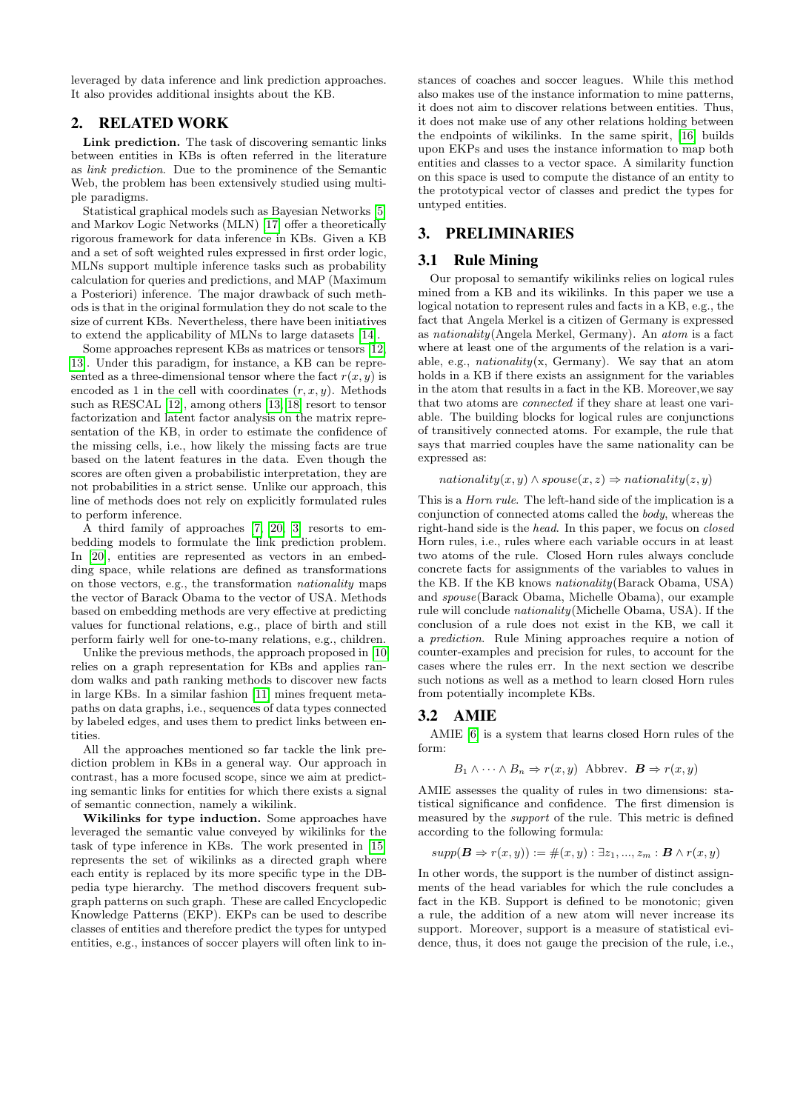leveraged by data inference and link prediction approaches. It also provides additional insights about the KB.

## 2. RELATED WORK

Link prediction. The task of discovering semantic links between entities in KBs is often referred in the literature as link prediction. Due to the prominence of the Semantic Web, the problem has been extensively studied using multiple paradigms.

Statistical graphical models such as Bayesian Networks [\[5\]](#page-4-5) and Markov Logic Networks (MLN) [\[17\]](#page-4-6) offer a theoretically rigorous framework for data inference in KBs. Given a KB and a set of soft weighted rules expressed in first order logic, MLNs support multiple inference tasks such as probability calculation for queries and predictions, and MAP (Maximum a Posteriori) inference. The major drawback of such methods is that in the original formulation they do not scale to the size of current KBs. Nevertheless, there have been initiatives to extend the applicability of MLNs to large datasets [\[14\]](#page-4-7).

Some approaches represent KBs as matrices or tensors [\[12,](#page-4-8) [13\]](#page-4-9). Under this paradigm, for instance, a KB can be represented as a three-dimensional tensor where the fact  $r(x, y)$  is encoded as 1 in the cell with coordinates  $(r, x, y)$ . Methods such as RESCAL [\[12\]](#page-4-8), among others [\[13,](#page-4-9) [18\]](#page-4-10) resort to tensor factorization and latent factor analysis on the matrix representation of the KB, in order to estimate the confidence of the missing cells, i.e., how likely the missing facts are true based on the latent features in the data. Even though the scores are often given a probabilistic interpretation, they are not probabilities in a strict sense. Unlike our approach, this line of methods does not rely on explicitly formulated rules to perform inference.

A third family of approaches [\[7,](#page-4-11) [20,](#page-4-12) [3\]](#page-4-13) resorts to embedding models to formulate the link prediction problem. In [\[20\]](#page-4-12), entities are represented as vectors in an embedding space, while relations are defined as transformations on those vectors, e.g., the transformation nationality maps the vector of Barack Obama to the vector of USA. Methods based on embedding methods are very effective at predicting values for functional relations, e.g., place of birth and still perform fairly well for one-to-many relations, e.g., children.

Unlike the previous methods, the approach proposed in [\[10\]](#page-4-14) relies on a graph representation for KBs and applies random walks and path ranking methods to discover new facts in large KBs. In a similar fashion [\[11\]](#page-4-15) mines frequent metapaths on data graphs, i.e., sequences of data types connected by labeled edges, and uses them to predict links between entities.

All the approaches mentioned so far tackle the link prediction problem in KBs in a general way. Our approach in contrast, has a more focused scope, since we aim at predicting semantic links for entities for which there exists a signal of semantic connection, namely a wikilink.

Wikilinks for type induction. Some approaches have leveraged the semantic value conveyed by wikilinks for the task of type inference in KBs. The work presented in [\[15\]](#page-4-16) represents the set of wikilinks as a directed graph where each entity is replaced by its more specific type in the DBpedia type hierarchy. The method discovers frequent subgraph patterns on such graph. These are called Encyclopedic Knowledge Patterns (EKP). EKPs can be used to describe classes of entities and therefore predict the types for untyped entities, e.g., instances of soccer players will often link to instances of coaches and soccer leagues. While this method also makes use of the instance information to mine patterns, it does not aim to discover relations between entities. Thus, it does not make use of any other relations holding between the endpoints of wikilinks. In the same spirit, [\[16\]](#page-4-17) builds upon EKPs and uses the instance information to map both entities and classes to a vector space. A similarity function on this space is used to compute the distance of an entity to the prototypical vector of classes and predict the types for untyped entities.

## 3. PRELIMINARIES

#### 3.1 Rule Mining

Our proposal to semantify wikilinks relies on logical rules mined from a KB and its wikilinks. In this paper we use a logical notation to represent rules and facts in a KB, e.g., the fact that Angela Merkel is a citizen of Germany is expressed as nationality(Angela Merkel, Germany). An atom is a fact where at least one of the arguments of the relation is a variable, e.g., *nationality* $(x, \text{Germany})$ . We say that an atom holds in a KB if there exists an assignment for the variables in the atom that results in a fact in the KB. Moreover,we say that two atoms are connected if they share at least one variable. The building blocks for logical rules are conjunctions of transitively connected atoms. For example, the rule that says that married couples have the same nationality can be expressed as:

 $nationality(x, y) \wedge spouse(x, z) \Rightarrow \text{nationality}(z, y)$ 

This is a Horn rule. The left-hand side of the implication is a conjunction of connected atoms called the body, whereas the right-hand side is the head. In this paper, we focus on closed Horn rules, i.e., rules where each variable occurs in at least two atoms of the rule. Closed Horn rules always conclude concrete facts for assignments of the variables to values in the KB. If the KB knows nationality(Barack Obama, USA) and spouse(Barack Obama, Michelle Obama), our example rule will conclude nationality(Michelle Obama, USA). If the conclusion of a rule does not exist in the KB, we call it a prediction. Rule Mining approaches require a notion of counter-examples and precision for rules, to account for the cases where the rules err. In the next section we describe such notions as well as a method to learn closed Horn rules from potentially incomplete KBs.

#### 3.2 AMIE

AMIE [\[6\]](#page-4-4) is a system that learns closed Horn rules of the form:

$$
B_1 \wedge \cdots \wedge B_n \Rightarrow r(x, y)
$$
 Abbrev.  $\mathbf{B} \Rightarrow r(x, y)$ 

AMIE assesses the quality of rules in two dimensions: statistical significance and confidence. The first dimension is measured by the support of the rule. This metric is defined according to the following formula:

$$
supp(\boldsymbol{B} \Rightarrow r(x,y)) := \#(x,y) : \exists z_1,...,z_m : \boldsymbol{B} \land r(x,y)
$$

In other words, the support is the number of distinct assignments of the head variables for which the rule concludes a fact in the KB. Support is defined to be monotonic; given a rule, the addition of a new atom will never increase its support. Moreover, support is a measure of statistical evidence, thus, it does not gauge the precision of the rule, i.e.,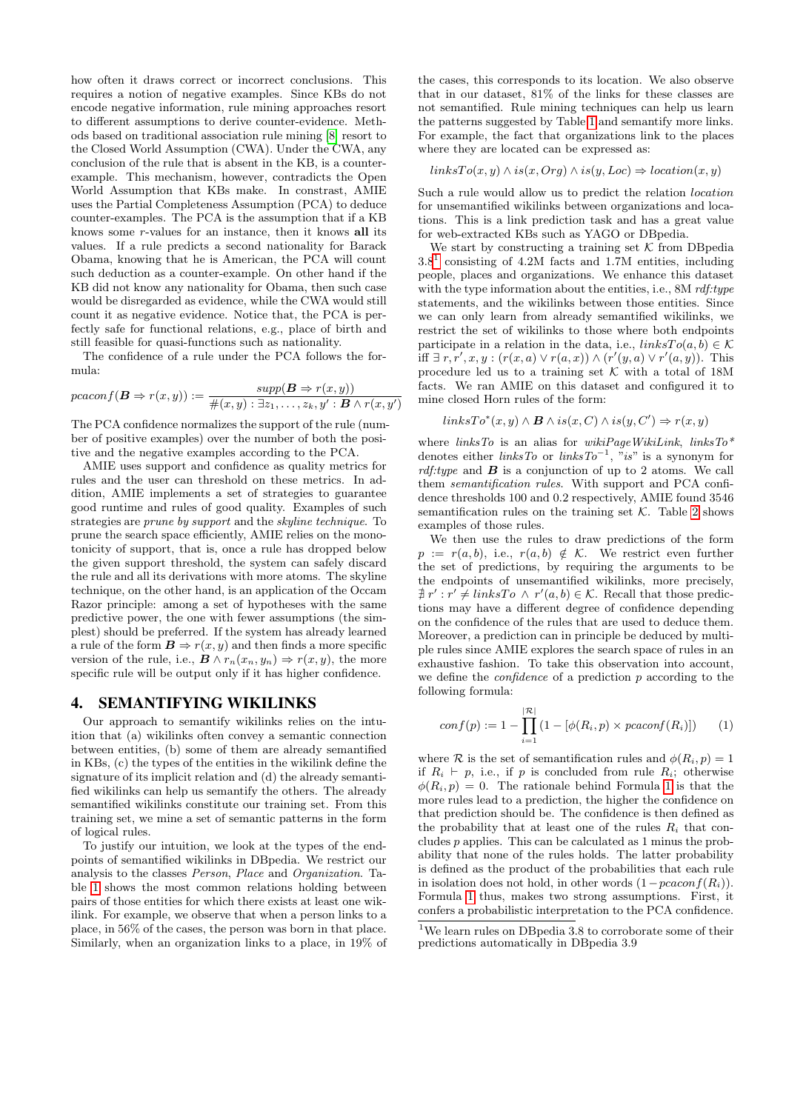how often it draws correct or incorrect conclusions. This requires a notion of negative examples. Since KBs do not encode negative information, rule mining approaches resort to different assumptions to derive counter-evidence. Methods based on traditional association rule mining [\[8\]](#page-4-18) resort to the Closed World Assumption (CWA). Under the CWA, any conclusion of the rule that is absent in the KB, is a counterexample. This mechanism, however, contradicts the Open World Assumption that KBs make. In constrast, AMIE uses the Partial Completeness Assumption (PCA) to deduce counter-examples. The PCA is the assumption that if a KB knows some r-values for an instance, then it knows all its values. If a rule predicts a second nationality for Barack Obama, knowing that he is American, the PCA will count such deduction as a counter-example. On other hand if the KB did not know any nationality for Obama, then such case would be disregarded as evidence, while the CWA would still count it as negative evidence. Notice that, the PCA is perfectly safe for functional relations, e.g., place of birth and still feasible for quasi-functions such as nationality.

The confidence of a rule under the PCA follows the formula:

$$
pcaconf(\boldsymbol{B} \Rightarrow r(x,y)) := \frac{supp(\boldsymbol{B} \Rightarrow r(x,y))}{\#(x,y) : \exists z_1, \dots, z_k, y' : \boldsymbol{B} \land r(x,y')}
$$

The PCA confidence normalizes the support of the rule (number of positive examples) over the number of both the positive and the negative examples according to the PCA.

AMIE uses support and confidence as quality metrics for rules and the user can threshold on these metrics. In addition, AMIE implements a set of strategies to guarantee good runtime and rules of good quality. Examples of such strategies are prune by support and the skyline technique. To prune the search space efficiently, AMIE relies on the monotonicity of support, that is, once a rule has dropped below the given support threshold, the system can safely discard the rule and all its derivations with more atoms. The skyline technique, on the other hand, is an application of the Occam Razor principle: among a set of hypotheses with the same predictive power, the one with fewer assumptions (the simplest) should be preferred. If the system has already learned a rule of the form  $\mathbf{B} \Rightarrow r(x, y)$  and then finds a more specific version of the rule, i.e.,  $\mathbf{B} \wedge r_n(x_n, y_n) \Rightarrow r(x, y)$ , the more specific rule will be output only if it has higher confidence.

#### 4. SEMANTIFYING WIKILINKS

Our approach to semantify wikilinks relies on the intuition that (a) wikilinks often convey a semantic connection between entities, (b) some of them are already semantified in KBs, (c) the types of the entities in the wikilink define the signature of its implicit relation and (d) the already semantified wikilinks can help us semantify the others. The already semantified wikilinks constitute our training set. From this training set, we mine a set of semantic patterns in the form of logical rules.

To justify our intuition, we look at the types of the endpoints of semantified wikilinks in DBpedia. We restrict our analysis to the classes Person, Place and Organization. Table [1](#page-3-0) shows the most common relations holding between pairs of those entities for which there exists at least one wikilink. For example, we observe that when a person links to a place, in 56% of the cases, the person was born in that place. Similarly, when an organization links to a place, in 19% of

the cases, this corresponds to its location. We also observe that in our dataset, 81% of the links for these classes are not semantified. Rule mining techniques can help us learn the patterns suggested by Table [1](#page-3-0) and semantify more links. For example, the fact that organizations link to the places where they are located can be expressed as:

#### $linksTo(x, y) \wedge is(x,Org) \wedge is(y, Loc) \Rightarrow location(x, y)$

Such a rule would allow us to predict the relation location for unsemantified wikilinks between organizations and locations. This is a link prediction task and has a great value for web-extracted KBs such as YAGO or DBpedia.

We start by constructing a training set  $K$  from DB pedia  $3.8<sup>1</sup>$  $3.8<sup>1</sup>$  $3.8<sup>1</sup>$  consisting of 4.2M facts and 1.7M entities, including people, places and organizations. We enhance this dataset with the type information about the entities, i.e.,  $8M$  rdf:type statements, and the wikilinks between those entities. Since we can only learn from already semantified wikilinks, we restrict the set of wikilinks to those where both endpoints participate in a relation in the data, i.e.,  $linksTo(a, b) \in \mathcal{K}$ iff ∃  $r, r', x, y : (r(x, a) \lor r(a, x)) \land (r'(y, a) \lor r'(a, y))$ . This procedure led us to a training set  $K$  with a total of 18M facts. We ran AMIE on this dataset and configured it to mine closed Horn rules of the form:

$$
linksTo^*(x,y) \wedge \mathbf{B} \wedge is(x,C) \wedge is(y,C') \Rightarrow r(x,y)
$$

where  $linksTo$  is an alias for  $wikiPageWikiLink, linksTo*$ denotes either *linksTo* or *linksTo*<sup>-1</sup>, "*is*" is a synonym for rdf:type and  $\bf{B}$  is a conjunction of up to 2 atoms. We call them semantification rules. With support and PCA confidence thresholds 100 and 0.2 respectively, AMIE found 3546 semantification rules on the training set  $K$ . Table [2](#page-3-1) shows examples of those rules.

We then use the rules to draw predictions of the form  $p := r(a, b)$ , i.e.,  $r(a, b) \notin K$ . We restrict even further the set of predictions, by requiring the arguments to be the endpoints of unsemantified wikilinks, more precisely,  $\sharp r': r' \neq linksTo \land r'(a, b) \in \mathcal{K}$ . Recall that those predictions may have a different degree of confidence depending on the confidence of the rules that are used to deduce them. Moreover, a prediction can in principle be deduced by multiple rules since AMIE explores the search space of rules in an exhaustive fashion. To take this observation into account, we define the confidence of a prediction p according to the following formula:

<span id="page-2-1"></span>
$$
conf(p) := 1 - \prod_{i=1}^{|\mathcal{R}|} (1 - [\phi(R_i, p) \times pcaconf(R_i)]) \qquad (1)
$$

where R is the set of semantification rules and  $\phi(R_i, p) = 1$ if  $R_i \vdash p$ , i.e., if p is concluded from rule  $R_i$ ; otherwise  $\phi(R_i, p) = 0$ . The rationale behind Formula [1](#page-2-1) is that the more rules lead to a prediction, the higher the confidence on that prediction should be. The confidence is then defined as the probability that at least one of the rules  $R_i$  that concludes p applies. This can be calculated as 1 minus the probability that none of the rules holds. The latter probability is defined as the product of the probabilities that each rule in isolation does not hold, in other words  $(1-pcaconf(R_i)).$ Formula [1](#page-2-1) thus, makes two strong assumptions. First, it confers a probabilistic interpretation to the PCA confidence.

<span id="page-2-0"></span><sup>&</sup>lt;sup>1</sup>We learn rules on DBpedia 3.8 to corroborate some of their predictions automatically in DBpedia 3.9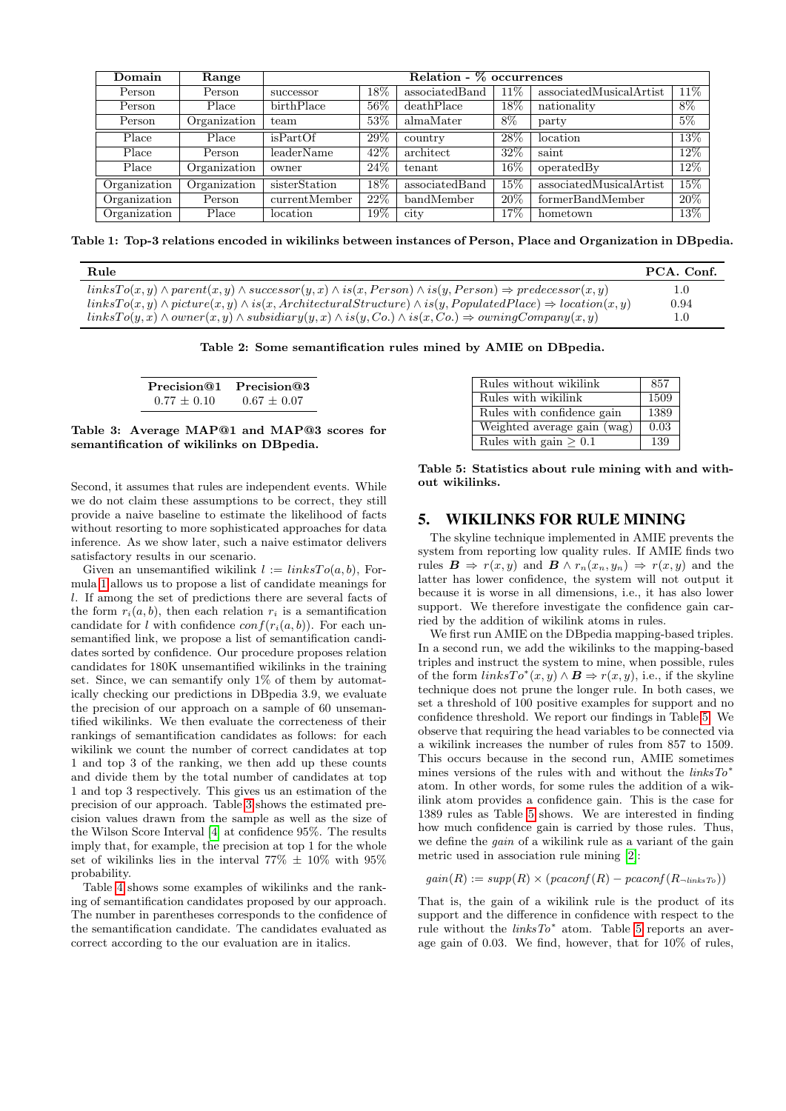| Domain       | Range        | Relation - % occurrences |        |                |                   |                         |       |
|--------------|--------------|--------------------------|--------|----------------|-------------------|-------------------------|-------|
| Person       | Person       | successor                | $18\%$ | associatedBand | $11\%$            | associatedMusicalArtist | 11\%  |
| Person       | Place        | birthPlace               | 56%    | deathPlace     | $\overline{18\%}$ | nationality             | $8\%$ |
| Person       | Organization | team                     | 53%    | almaMater      | 8%                | party                   | $5\%$ |
| Place        | Place        | isPartOf                 | $29\%$ | country        | 28\%              | location                | 13%   |
| Place        | Person       | leaderName               | 42%    | architect      | 32%               | saint                   | 12%   |
| Place        | Organization | owner                    | 24%    | tenant         | 16%               | operatedBy              | 12%   |
| Organization | Organization | sisterStation            | 18%    | associatedBand | $15\%$            | associatedMusicalArtist | 15%   |
| Organization | Person       | currentMember            | 22%    | bandMember     | 20%               | formerBandMember        | 20%   |
| Organization | Place        | location                 | 19%    | city           | $17\%$            | hometown                | 13%   |

<span id="page-3-0"></span>Table 1: Top-3 relations encoded in wikilinks between instances of Person, Place and Organization in DBpedia.

| Rule                                                                                                                               | PCA. Conf. |
|------------------------------------------------------------------------------------------------------------------------------------|------------|
| $linksTo(x, y) \wedge parent(x, y) \wedge successor(y, x) \wedge is(x, Person) \wedge is(y, Person) \Rightarrow predecessor(x, y)$ | 1.0        |
| $linksTo(x, y) \wedge picture(x, y) \wedge is(x, ArchitecturalStructure) \wedge is(y, Population) \Rightarrow location(x, y)$      | 0.94       |
| $linksTo(y, x) \wedge owner(x, y) \wedge subsidiary(y, x) \wedge is(y, Co) \wedge is(x, Co) \Rightarrow owningCompany(x, y)$       | $1.0\,$    |

<span id="page-3-1"></span>Table 2: Some semantification rules mined by AMIE on DBpedia.

<span id="page-3-2"></span>

| Precision@1   | Precision@3   |  |  |
|---------------|---------------|--|--|
| $0.77 + 0.10$ | $0.67 + 0.07$ |  |  |

Table 3: Average MAP@1 and MAP@3 scores for semantification of wikilinks on DBpedia.

Second, it assumes that rules are independent events. While we do not claim these assumptions to be correct, they still provide a naive baseline to estimate the likelihood of facts without resorting to more sophisticated approaches for data inference. As we show later, such a naive estimator delivers satisfactory results in our scenario.

Given an unsemantified wikilink  $l := linksTo(a, b)$ , Formula [1](#page-2-1) allows us to propose a list of candidate meanings for l. If among the set of predictions there are several facts of the form  $r_i(a, b)$ , then each relation  $r_i$  is a semantification candidate for l with confidence  $conf(r_i(a, b))$ . For each unsemantified link, we propose a list of semantification candidates sorted by confidence. Our procedure proposes relation candidates for 180K unsemantified wikilinks in the training set. Since, we can semantify only 1% of them by automatically checking our predictions in DBpedia 3.9, we evaluate the precision of our approach on a sample of 60 unsemantified wikilinks. We then evaluate the correcteness of their rankings of semantification candidates as follows: for each wikilink we count the number of correct candidates at top 1 and top 3 of the ranking, we then add up these counts and divide them by the total number of candidates at top 1 and top 3 respectively. This gives us an estimation of the precision of our approach. Table [3](#page-3-2) shows the estimated precision values drawn from the sample as well as the size of the Wilson Score Interval [\[4\]](#page-4-19) at confidence 95%. The results imply that, for example, the precision at top 1 for the whole set of wikilinks lies in the interval  $77\% \pm 10\%$  with  $95\%$ probability.

Table [4](#page-4-20) shows some examples of wikilinks and the ranking of semantification candidates proposed by our approach. The number in parentheses corresponds to the confidence of the semantification candidate. The candidates evaluated as correct according to the our evaluation are in italics.

| Rules without wikilink      | 857  |
|-----------------------------|------|
| Rules with wikilink         | 1509 |
| Rules with confidence gain  | 1389 |
| Weighted average gain (wag) | 0.03 |
| Rules with gain $\geq 0.1$  | 139  |

<span id="page-3-3"></span>Table 5: Statistics about rule mining with and without wikilinks.

#### 5. WIKILINKS FOR RULE MINING

The skyline technique implemented in AMIE prevents the system from reporting low quality rules. If AMIE finds two rules  $\mathbf{B} \Rightarrow r(x, y)$  and  $\mathbf{B} \land r_n(x_n, y_n) \Rightarrow r(x, y)$  and the latter has lower confidence, the system will not output it because it is worse in all dimensions, i.e., it has also lower support. We therefore investigate the confidence gain carried by the addition of wikilink atoms in rules.

We first run AMIE on the DBpedia mapping-based triples. In a second run, we add the wikilinks to the mapping-based triples and instruct the system to mine, when possible, rules of the form  $linksTo^*(x, y) \wedge \mathbf{B} \Rightarrow r(x, y)$ , i.e., if the skyline technique does not prune the longer rule. In both cases, we set a threshold of 100 positive examples for support and no confidence threshold. We report our findings in Table [5.](#page-3-3) We observe that requiring the head variables to be connected via a wikilink increases the number of rules from 857 to 1509. This occurs because in the second run, AMIE sometimes mines versions of the rules with and without the linksTo<sup>∗</sup> atom. In other words, for some rules the addition of a wikilink atom provides a confidence gain. This is the case for 1389 rules as Table [5](#page-3-3) shows. We are interested in finding how much confidence gain is carried by those rules. Thus, we define the gain of a wikilink rule as a variant of the gain metric used in association rule mining [\[2\]](#page-4-21):

 $gain(R) := supp(R) \times (pcaconf(R) - pcaconf(R_{\neg linksTo}))$ 

That is, the gain of a wikilink rule is the product of its support and the difference in confidence with respect to the rule without the  $linksTo^*$  atom. Table [5](#page-3-3) reports an average gain of 0.03. We find, however, that for 10% of rules,